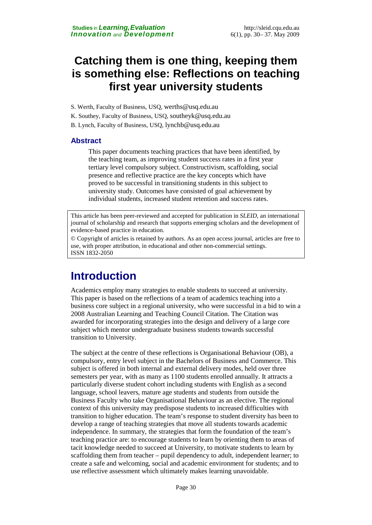## **Catching them is one thing, keeping them is something else: Reflections on teaching first year university students**

- S. Werth, Faculty of Business, USQ, [werths@usq.edu.au](mailto:werths@usq.edu.au)
- K. Southey, Faculty of Business, USQ, [southeyk@usq.edu.au](mailto:southeyk@usq.edu.au)
- B. Lynch, Faculty of Business, USQ, [lynchb@usq.edu.au](mailto:lynchb@usq.edu.au)

### **Abstract**

This paper documents teaching practices that have been identified, by the teaching team, as improving student success rates in a first year tertiary level compulsory subject. Constructivism, scaffolding, social presence and reflective practice are the key concepts which have proved to be successful in transitioning students in this subject to university study. Outcomes have consisted of goal achievement by individual students, increased student retention and success rates.

This article has been peer-reviewed and accepted for publication in *SLEID*, an international journal of scholarship and research that supports emerging scholars and the development of evidence-based practice in education.

© Copyright of articles is retained by authors. As an open access journal, articles are free to use, with proper attribution, in educational and other non-commercial settings. ISSN 1832-2050

# **Introduction**

Academics employ many strategies to enable students to succeed at university. This paper is based on the reflections of a team of academics teaching into a business core subject in a regional university, who were successful in a bid to win a 2008 Australian Learning and Teaching Council Citation. The Citation was awarded for incorporating strategies into the design and delivery of a large core subject which mentor undergraduate business students towards successful transition to University.

The subject at the centre of these reflections is Organisational Behaviour (OB), a compulsory, entry level subject in the Bachelors of Business and Commerce. This subject is offered in both internal and external delivery modes, held over three semesters per year, with as many as 1100 students enrolled annually. It attracts a particularly diverse student cohort including students with English as a second language, school leavers, mature age students and students from outside the Business Faculty who take Organisational Behaviour as an elective. The regional context of this university may predispose students to increased difficulties with transition to higher education. The team's response to student diversity has been to develop a range of teaching strategies that move all students towards academic independence. In summary, the strategies that form the foundation of the team's teaching practice are: to encourage students to learn by orienting them to areas of tacit knowledge needed to succeed at University, to motivate students to learn by scaffolding them from teacher – pupil dependency to adult, independent learner; to create a safe and welcoming, social and academic environment for students; and to use reflective assessment which ultimately makes learning unavoidable.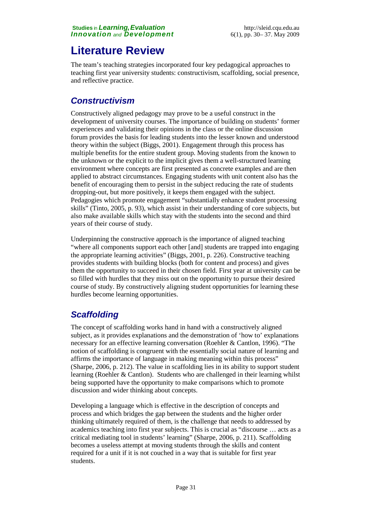# **Literature Review**

The team's teaching strategies incorporated four key pedagogical approaches to teaching first year university students: constructivism, scaffolding, social presence, and reflective practice.

## *Constructivism*

Constructively aligned pedagogy may prove to be a useful construct in the development of university courses. The importance of building on students' former experiences and validating their opinions in the class or the online discussion forum provides the basis for leading students into the lesser known and understood theory within the subject (Biggs, 2001). Engagement through this process has multiple benefits for the entire student group. Moving students from the known to the unknown or the explicit to the implicit gives them a well-structured learning environment where concepts are first presented as concrete examples and are then applied to abstract circumstances. Engaging students with unit content also has the benefit of encouraging them to persist in the subject reducing the rate of students dropping-out, but more positively, it keeps them engaged with the subject. Pedagogies which promote engagement "substantially enhance student processing skills" (Tinto, 2005, p. 93), which assist in their understanding of core subjects, but also make available skills which stay with the students into the second and third years of their course of study.

Underpinning the constructive approach is the importance of aligned teaching "where all components support each other [and] students are trapped into engaging the appropriate learning activities" (Biggs, 2001, p. 226). Constructive teaching provides students with building blocks (both for content and process) and gives them the opportunity to succeed in their chosen field. First year at university can be so filled with hurdles that they miss out on the opportunity to pursue their desired course of study. By constructively aligning student opportunities for learning these hurdles become learning opportunities.

## *Scaffolding*

The concept of scaffolding works hand in hand with a constructively aligned subject, as it provides explanations and the demonstration of 'how to' explanations necessary for an effective learning conversation (Roehler & Cantlon, 1996). "The notion of scaffolding is congruent with the essentially social nature of learning and affirms the importance of language in making meaning within this process" (Sharpe, 2006, p. 212). The value in scaffolding lies in its ability to support student learning (Roehler & Cantlon). Students who are challenged in their learning whilst being supported have the opportunity to make comparisons which to promote discussion and wider thinking about concepts.

Developing a language which is effective in the description of concepts and process and which bridges the gap between the students and the higher order thinking ultimately required of them, is the challenge that needs to addressed by academics teaching into first year subjects. This is crucial as "discourse … acts as a critical mediating tool in students' learning" (Sharpe, 2006, p. 211). Scaffolding becomes a useless attempt at moving students through the skills and content required for a unit if it is not couched in a way that is suitable for first year students.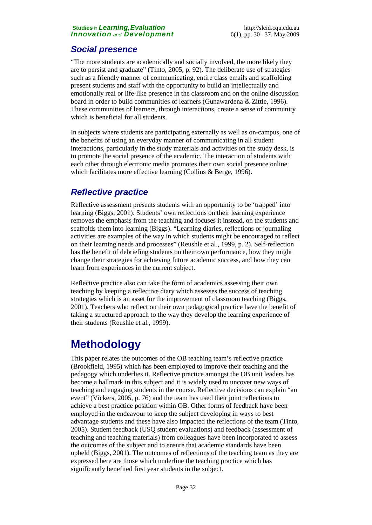### *Social presence*

"The more students are academically and socially involved, the more likely they are to persist and graduate" (Tinto, 2005, p. 92). The deliberate use of strategies such as a friendly manner of communicating, entire class emails and scaffolding present students and staff with the opportunity to build an intellectually and emotionally real or life-like presence in the classroom and on the online discussion board in order to build communities of learners (Gunawardena & Zittle, 1996). These communities of learners, through interactions, create a sense of community which is beneficial for all students.

In subjects where students are participating externally as well as on-campus, one of the benefits of using an everyday manner of communicating in all student interactions, particularly in the study materials and activities on the study desk, is to promote the social presence of the academic. The interaction of students with each other through electronic media promotes their own social presence online which facilitates more effective learning (Collins & Berge, 1996).

### *Reflective practice*

Reflective assessment presents students with an opportunity to be 'trapped' into learning (Biggs, 2001). Students' own reflections on their learning experience removes the emphasis from the teaching and focuses it instead, on the students and scaffolds them into learning (Biggs). "Learning diaries, reflections or journaling activities are examples of the way in which students might be encouraged to reflect on their learning needs and processes" (Reushle et al., 1999, p. 2). Self-reflection has the benefit of debriefing students on their own performance, how they might change their strategies for achieving future academic success, and how they can learn from experiences in the current subject.

Reflective practice also can take the form of academics assessing their own teaching by keeping a reflective diary which assesses the success of teaching strategies which is an asset for the improvement of classroom teaching (Biggs, 2001). Teachers who reflect on their own pedagogical practice have the benefit of taking a structured approach to the way they develop the learning experience of their students (Reushle et al., 1999).

# **Methodology**

This paper relates the outcomes of the OB teaching team's reflective practice (Brookfield, 1995) which has been employed to improve their teaching and the pedagogy which underlies it. Reflective practice amongst the OB unit leaders has become a hallmark in this subject and it is widely used to uncover new ways of teaching and engaging students in the course. Reflective decisions can explain "an event" (Vickers, 2005, p. 76) and the team has used their joint reflections to achieve a best practice position within OB. Other forms of feedback have been employed in the endeavour to keep the subject developing in ways to best advantage students and these have also impacted the reflections of the team (Tinto, 2005). Student feedback (USQ student evaluations) and feedback (assessment of teaching and teaching materials) from colleagues have been incorporated to assess the outcomes of the subject and to ensure that academic standards have been upheld (Biggs, 2001). The outcomes of reflections of the teaching team as they are expressed here are those which underline the teaching practice which has significantly benefited first year students in the subject.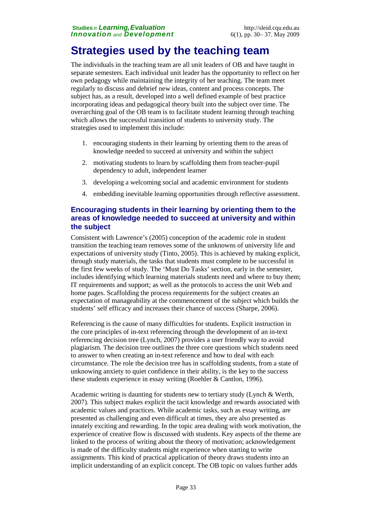# **Strategies used by the teaching team**

The individuals in the teaching team are all unit leaders of OB and have taught in separate semesters. Each individual unit leader has the opportunity to reflect on her own pedagogy while maintaining the integrity of her teaching. The team meet regularly to discuss and debrief new ideas, content and process concepts. The subject has, as a result, developed into a well defined example of best practice incorporating ideas and pedagogical theory built into the subject over time. The overarching goal of the OB team is to facilitate student learning through teaching which allows the successful transition of students to university study. The strategies used to implement this include:

- 1. encouraging students in their learning by orienting them to the areas of knowledge needed to succeed at university and within the subject
- 2. motivating students to learn by scaffolding them from teacher-pupil dependency to adult, independent learner
- 3. developing a welcoming social and academic environment for students
- 4. embedding inevitable learning opportunities through reflective assessment.

### **Encouraging students in their learning by orienting them to the areas of knowledge needed to succeed at university and within the subject**

Consistent with Lawrence's (2005) conception of the academic role in student transition the teaching team removes some of the unknowns of university life and expectations of university study (Tinto, 2005). This is achieved by making explicit, through study materials, the tasks that students must complete to be successful in the first few weeks of study. The 'Must Do Tasks' section, early in the semester, includes identifying which learning materials students need and where to buy them; IT requirements and support; as well as the protocols to access the unit Web and home pages. Scaffolding the process requirements for the subject creates an expectation of manageability at the commencement of the subject which builds the students' self efficacy and increases their chance of success (Sharpe, 2006).

Referencing is the cause of many difficulties for students. Explicit instruction in the core principles of in-text referencing through the development of an in-text referencing decision tree (Lynch, 2007) provides a user friendly way to avoid plagiarism. The decision tree outlines the three core questions which students need to answer to when creating an in-text reference and how to deal with each circumstance. The role the decision tree has in scaffolding students, from a state of unknowing anxiety to quiet confidence in their ability, is the key to the success these students experience in essay writing (Roehler & Cantlon, 1996).

Academic writing is daunting for students new to tertiary study (Lynch & Werth, 2007). This subject makes explicit the tacit knowledge and rewards associated with academic values and practices. While academic tasks, such as essay writing, are presented as challenging and even difficult at times, they are also presented as innately exciting and rewarding. In the topic area dealing with work motivation, the experience of creative flow is discussed with students. Key aspects of the theme are linked to the process of writing about the theory of motivation; acknowledgement is made of the difficulty students might experience when starting to write assignments. This kind of practical application of theory draws students into an implicit understanding of an explicit concept. The OB topic on values further adds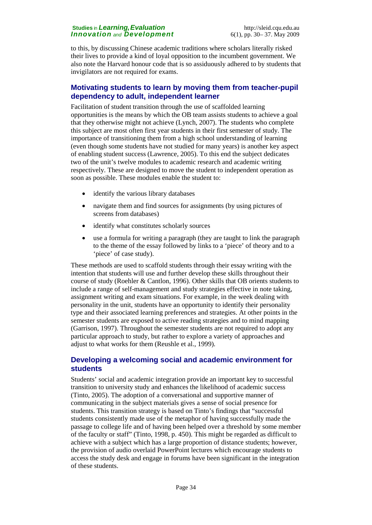to this, by discussing Chinese academic traditions where scholars literally risked their lives to provide a kind of loyal opposition to the incumbent government. We also note the Harvard honour code that is so assiduously adhered to by students that invigilators are not required for exams.

### **Motivating students to learn by moving them from teacher-pupil dependency to adult, independent learner**

Facilitation of student transition through the use of scaffolded learning opportunities is the means by which the OB team assists students to achieve a goal that they otherwise might not achieve (Lynch, 2007). The students who complete this subject are most often first year students in their first semester of study. The importance of transitioning them from a high school understanding of learning (even though some students have not studied for many years) is another key aspect of enabling student success (Lawrence, 2005). To this end the subject dedicates two of the unit's twelve modules to academic research and academic writing respectively. These are designed to move the student to independent operation as soon as possible. These modules enable the student to:

- identify the various library databases
- navigate them and find sources for assignments (by using pictures of screens from databases)
- identify what constitutes scholarly sources
- use a formula for writing a paragraph (they are taught to link the paragraph to the theme of the essay followed by links to a 'piece' of theory and to a 'piece' of case study).

These methods are used to scaffold students through their essay writing with the intention that students will use and further develop these skills throughout their course of study (Roehler & Cantlon, 1996). Other skills that OB orients students to include a range of self-management and study strategies effective in note taking, assignment writing and exam situations. For example, in the week dealing with personality in the unit, students have an opportunity to identify their personality type and their associated learning preferences and strategies. At other points in the semester students are exposed to active reading strategies and to mind mapping (Garrison, 1997). Throughout the semester students are not required to adopt any particular approach to study, but rather to explore a variety of approaches and adjust to what works for them (Reushle et al., 1999).

### **Developing a welcoming social and academic environment for students**

Students' social and academic integration provide an important key to successful transition to university study and enhances the likelihood of academic success (Tinto, 2005). The adoption of a conversational and supportive manner of communicating in the subject materials gives a sense of social presence for students. This transition strategy is based on Tinto's findings that "successful students consistently made use of the metaphor of having successfully made the passage to college life and of having been helped over a threshold by some member of the faculty or staff" (Tinto, 1998, p. 450). This might be regarded as difficult to achieve with a subject which has a large proportion of distance students; however, the provision of audio overlaid PowerPoint lectures which encourage students to access the study desk and engage in forums have been significant in the integration of these students.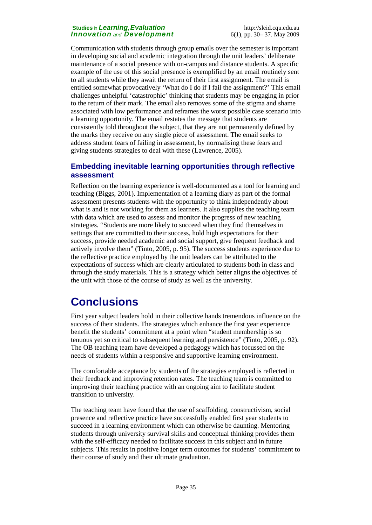Communication with students through group emails over the semester is important in developing social and academic integration through the unit leaders' deliberate maintenance of a social presence with on-campus and distance students. A specific example of the use of this social presence is exemplified by an email routinely sent to all students while they await the return of their first assignment. The email is entitled somewhat provocatively 'What do I do if I fail the assignment?' This email challenges unhelpful 'catastrophic' thinking that students may be engaging in prior to the return of their mark. The email also removes some of the stigma and shame associated with low performance and reframes the worst possible case scenario into a learning opportunity. The email restates the message that students are consistently told throughout the subject, that they are not permanently defined by the marks they receive on any single piece of assessment. The email seeks to address student fears of failing in assessment, by normalising these fears and giving students strategies to deal with these (Lawrence, 2005).

### **Embedding inevitable learning opportunities through reflective assessment**

Reflection on the learning experience is well-documented as a tool for learning and teaching (Biggs, 2001). Implementation of a learning diary as part of the formal assessment presents students with the opportunity to think independently about what is and is not working for them as learners. It also supplies the teaching team with data which are used to assess and monitor the progress of new teaching strategies. "Students are more likely to succeed when they find themselves in settings that are committed to their success, hold high expectations for their success, provide needed academic and social support, give frequent feedback and actively involve them" (Tinto, 2005, p. 95). The success students experience due to the reflective practice employed by the unit leaders can be attributed to the expectations of success which are clearly articulated to students both in class and through the study materials. This is a strategy which better aligns the objectives of the unit with those of the course of study as well as the university.

# **Conclusions**

First year subject leaders hold in their collective hands tremendous influence on the success of their students. The strategies which enhance the first year experience benefit the students' commitment at a point when "student membership is so tenuous yet so critical to subsequent learning and persistence" (Tinto, 2005, p. 92). The OB teaching team have developed a pedagogy which has focussed on the needs of students within a responsive and supportive learning environment.

The comfortable acceptance by students of the strategies employed is reflected in their feedback and improving retention rates. The teaching team is committed to improving their teaching practice with an ongoing aim to facilitate student transition to university.

The teaching team have found that the use of scaffolding, constructivism, social presence and reflective practice have successfully enabled first year students to succeed in a learning environment which can otherwise be daunting. Mentoring students through university survival skills and conceptual thinking provides them with the self-efficacy needed to facilitate success in this subject and in future subjects. This results in positive longer term outcomes for students' commitment to their course of study and their ultimate graduation.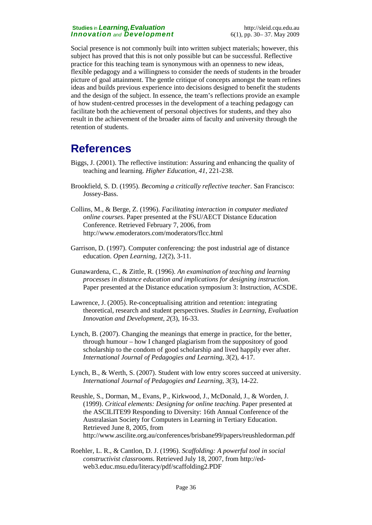Social presence is not commonly built into written subject materials; however, this subject has proved that this is not only possible but can be successful. Reflective practice for this teaching team is synonymous with an openness to new ideas, flexible pedagogy and a willingness to consider the needs of students in the broader picture of goal attainment. The gentle critique of concepts amongst the team refines ideas and builds previous experience into decisions designed to benefit the students and the design of the subject. In essence, the team's reflections provide an example of how student-centred processes in the development of a teaching pedagogy can facilitate both the achievement of personal objectives for students, and they also result in the achievement of the broader aims of faculty and university through the retention of students.

# **References**

- Biggs, J. (2001). The reflective institution: Assuring and enhancing the quality of teaching and learning. *Higher Education, 41*, 221-238.
- Brookfield, S. D. (1995). *Becoming a critically reflective teacher*. San Francisco: Jossey-Bass.
- Collins, M., & Berge, Z. (1996). *Facilitating interaction in computer mediated online courses*. Paper presented at the FSU/AECT Distance Education Conference. Retrieved February 7, 2006, from http://www.emoderators.com/moderators/flcc.html
- Garrison, D. (1997). Computer conferencing: the post industrial age of distance education. *Open Learning, 12*(2), 3-11.
- Gunawardena, C., & Zittle, R. (1996). *An examination of teaching and learning processes in distance education and implications for designing instruction*. Paper presented at the Distance education symposium 3: Instruction, ACSDE.
- Lawrence, J. (2005). Re-conceptualising attrition and retention: integrating theoretical, research and student perspectives. *Studies in Learning, Evaluation Innovation and Development, 2*(3), 16-33.
- Lynch, B. (2007). Changing the meanings that emerge in practice, for the better, through humour – how I changed plagiarism from the suppository of good scholarship to the condom of good scholarship and lived happily ever after. *International Journal of Pedagogies and Learning, 3*(2), 4-17.
- Lynch, B., & Werth, S. (2007). Student with low entry scores succeed at university. *International Journal of Pedagogies and Learning, 3*(3), 14-22.
- Reushle, S., Dorman, M., Evans, P., Kirkwood, J., McDonald, J., & Worden, J. (1999). *Critical elements: Designing for online teaching*. Paper presented at the ASCILITE99 Responding to Diversity: 16th Annual Conference of the Australasian Society for Computers in Learning in Tertiary Education. Retrieved June 8, 2005, from http://www.ascilite.org.au/conferences/brisbane99/papers/reushledorman.pdf
- Roehler, L. R., & Cantlon, D. J. (1996). *Scaffolding: A powerful tool in social constructivist classrooms*. Retrieved July 18, 2007, from http://edweb3.educ.msu.edu/literacy/pdf/scaffolding2.PDF